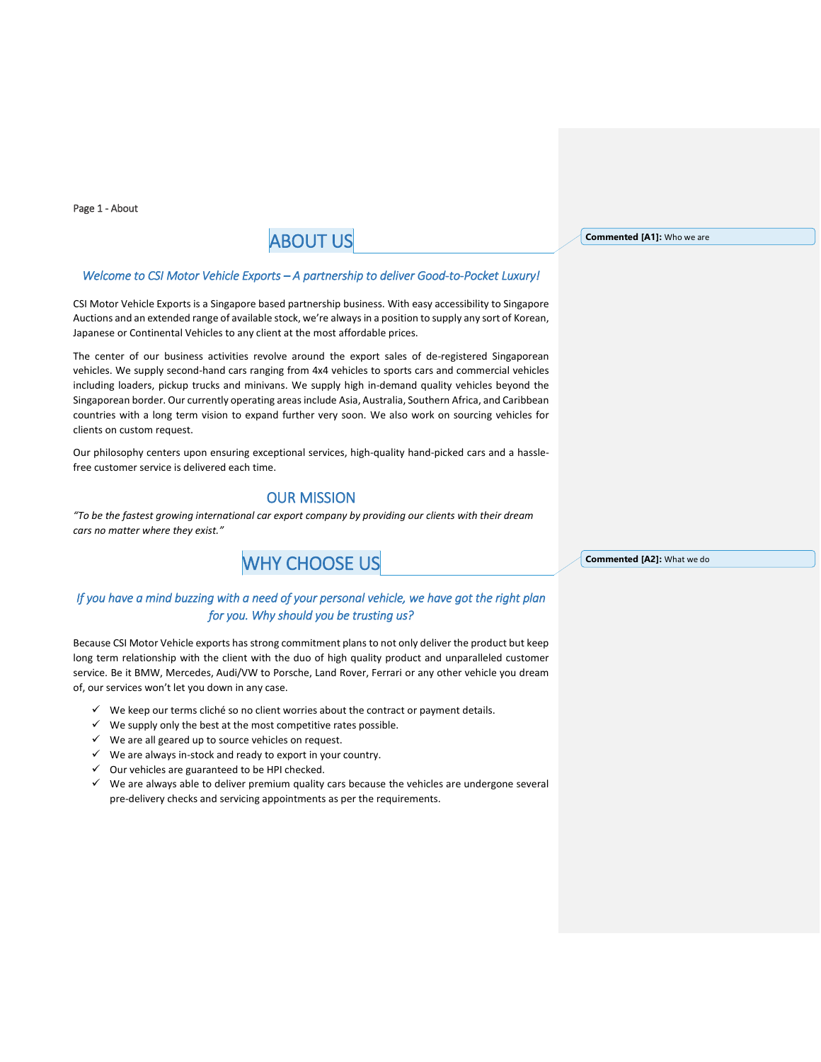Page 1 - About

# ABOUT US

#### *Welcome to CSI Motor Vehicle Exports – A partnership to deliver Good-to-Pocket Luxury!*

CSI Motor Vehicle Exports is a Singapore based partnership business. With easy accessibility to Singapore Auctions and an extended range of available stock, we're always in a position to supply any sort of Korean, Japanese or Continental Vehicles to any client at the most affordable prices.

The center of our business activities revolve around the export sales of de-registered Singaporean vehicles. We supply second-hand cars ranging from 4x4 vehicles to sports cars and commercial vehicles including loaders, pickup trucks and minivans. We supply high in-demand quality vehicles beyond the Singaporean border. Our currently operating areas include Asia, Australia, Southern Africa, and Caribbean countries with a long term vision to expand further very soon. We also work on sourcing vehicles for clients on custom request.

Our philosophy centers upon ensuring exceptional services, high-quality hand-picked cars and a hasslefree customer service is delivered each time.

# OUR MISSION

*"To be the fastest growing international car export company by providing our clients with their dream cars no matter where they exist."*

# WHY CHOOSE US

# *If you have a mind buzzing with a need of your personal vehicle, we have got the right plan for you. Why should you be trusting us?*

Because CSI Motor Vehicle exports has strong commitment plans to not only deliver the product but keep long term relationship with the client with the duo of high quality product and unparalleled customer service. Be it BMW, Mercedes, Audi/VW to Porsche, Land Rover, Ferrari or any other vehicle you dream of, our services won't let you down in any case.

- $\checkmark$  We keep our terms cliché so no client worries about the contract or payment details.
- $\checkmark$  We supply only the best at the most competitive rates possible.
- $\checkmark$  We are all geared up to source vehicles on request.
- $\checkmark$  We are always in-stock and ready to export in your country.
- $\checkmark$  Our vehicles are guaranteed to be HPI checked.
- ✓ We are always able to deliver premium quality cars because the vehicles are undergone several pre-delivery checks and servicing appointments as per the requirements.

**Commented [A1]:** Who we are

**Commented [A2]:** What we do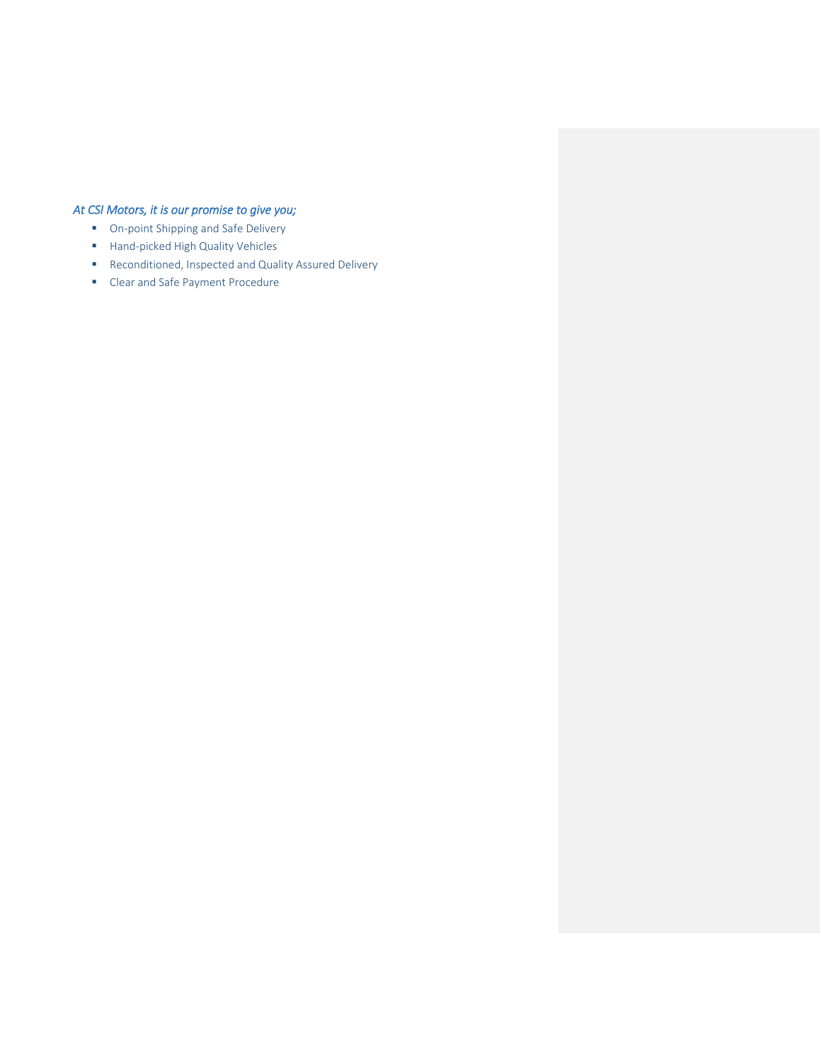# *At CSI Motors, it is our promise to give you;*

- On-point Shipping and Safe Delivery
- Hand-picked High Quality Vehicles
- Reconditioned, Inspected and Quality Assured Delivery
- Clear and Safe Payment Procedure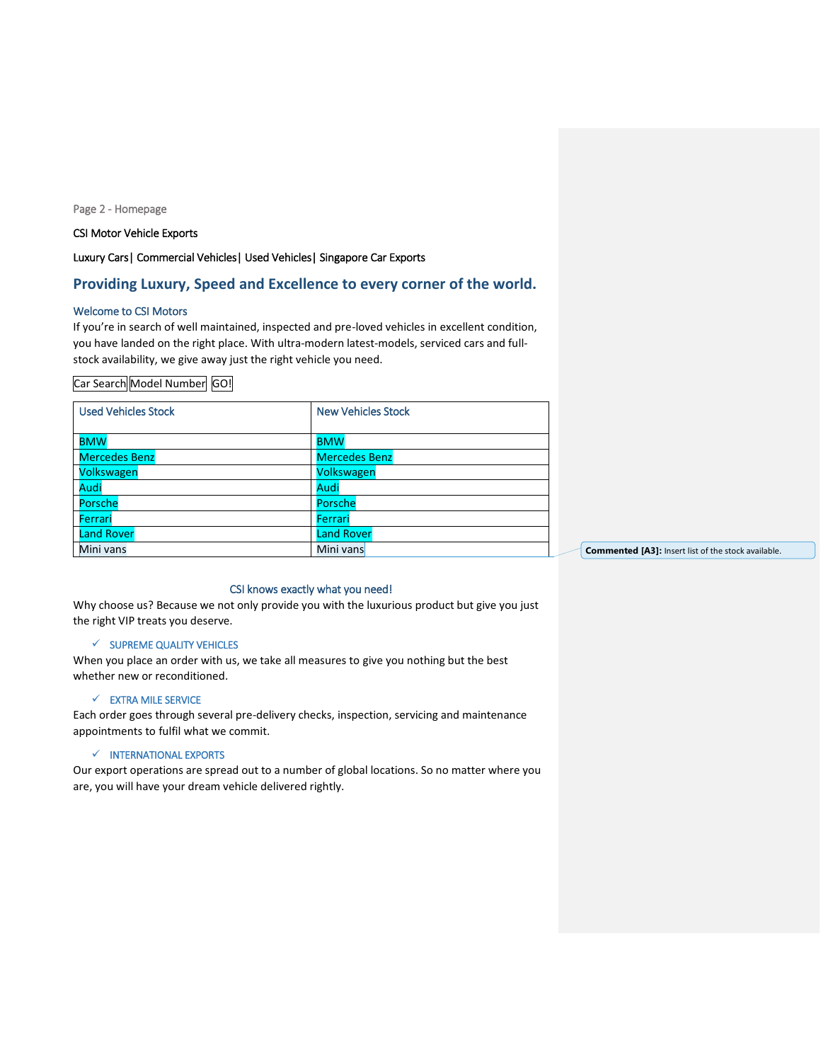#### Page 2 - Homepage

#### CSI Motor Vehicle Exports

### Luxury Cars| Commercial Vehicles| Used Vehicles| Singapore Car Exports

## **Providing Luxury, Speed and Excellence to every corner of the world.**

#### Welcome to CSI Motors

If you're in search of well maintained, inspected and pre-loved vehicles in excellent condition, you have landed on the right place. With ultra-modern latest-models, serviced cars and fullstock availability, we give away just the right vehicle you need.

#### Car Search Model Number GO!

| <b>Used Vehicles Stock</b> | <b>New Vehicles Stock</b> |
|----------------------------|---------------------------|
| <b>BMW</b>                 | <b>BMW</b>                |
| <b>Mercedes Benz</b>       | <b>Mercedes Benz</b>      |
| Volkswagen                 | Volkswagen                |
| Audi                       | Audi                      |
| Porsche                    | Porsche                   |
| Ferrari                    | Ferrari                   |
| <b>Land Rover</b>          | <b>Land Rover</b>         |
| Mini vans                  | Mini vans                 |

**Commented [A3]:** Insert list of the stock available.

#### CSI knows exactly what you need!

Why choose us? Because we not only provide you with the luxurious product but give you just the right VIP treats you deserve.

#### ✓ SUPREME QUALITY VEHICLES

When you place an order with us, we take all measures to give you nothing but the best whether new or reconditioned.

#### ✓ EXTRA MILE SERVICE

Each order goes through several pre-delivery checks, inspection, servicing and maintenance appointments to fulfil what we commit.

#### ✓ INTERNATIONAL EXPORTS

Our export operations are spread out to a number of global locations. So no matter where you are, you will have your dream vehicle delivered rightly.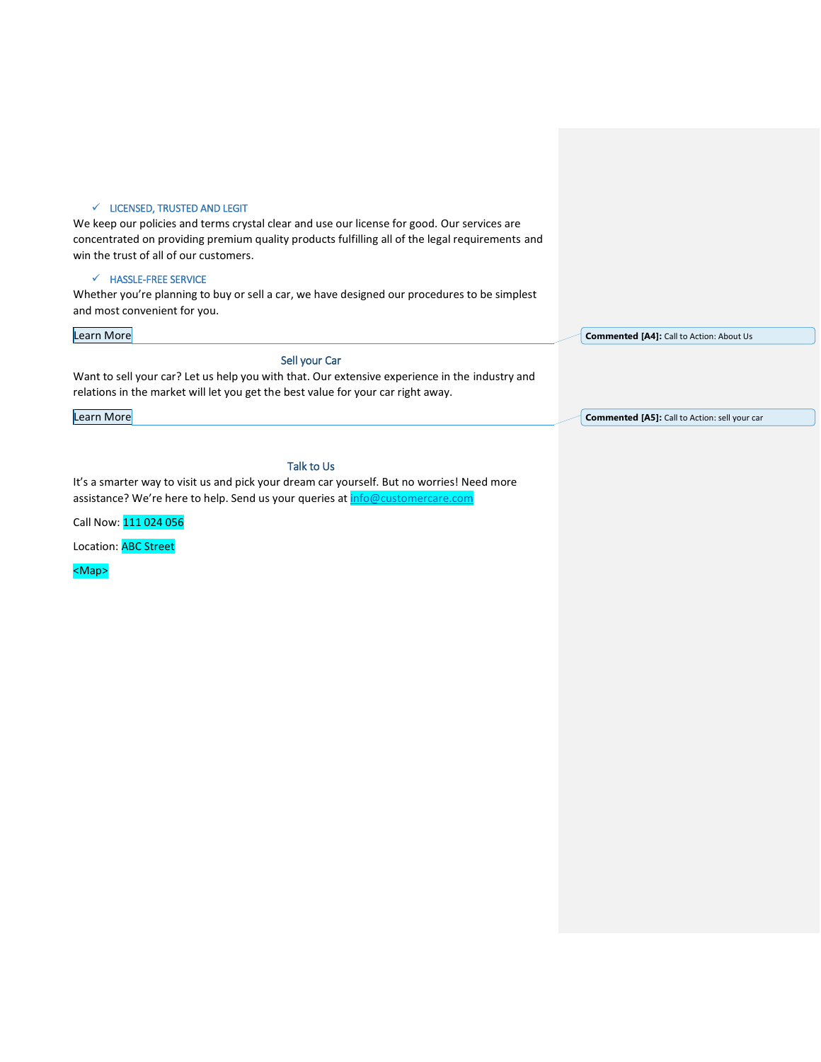#### ✓ LICENSED, TRUSTED AND LEGIT

We keep our policies and terms crystal clear and use our license for good. Our services are concentrated on providing premium quality products fulfilling all of the legal requirements and win the trust of all of our customers.

#### ✓ HASSLE-FREE SERVICE

Whether you're planning to buy or sell a car, we have designed our procedures to be simplest and most convenient for you.

#### Learn More

#### Sell your Car

Want to sell your car? Let us help you with that. Our extensive experience in the industry and relations in the market will let you get the best value for your car right away.

Learn More

Talk to Us

It's a smarter way to visit us and pick your dream car yourself. But no worries! Need more assistance? We're here to help. Send us your queries at [info@customercare.com](mailto:info@customercare.com)

Call Now: 111 024 056

Location: ABC Street

<Map>

**Commented [A4]:** Call to Action: About Us

**Commented [A5]:** Call to Action: sell your car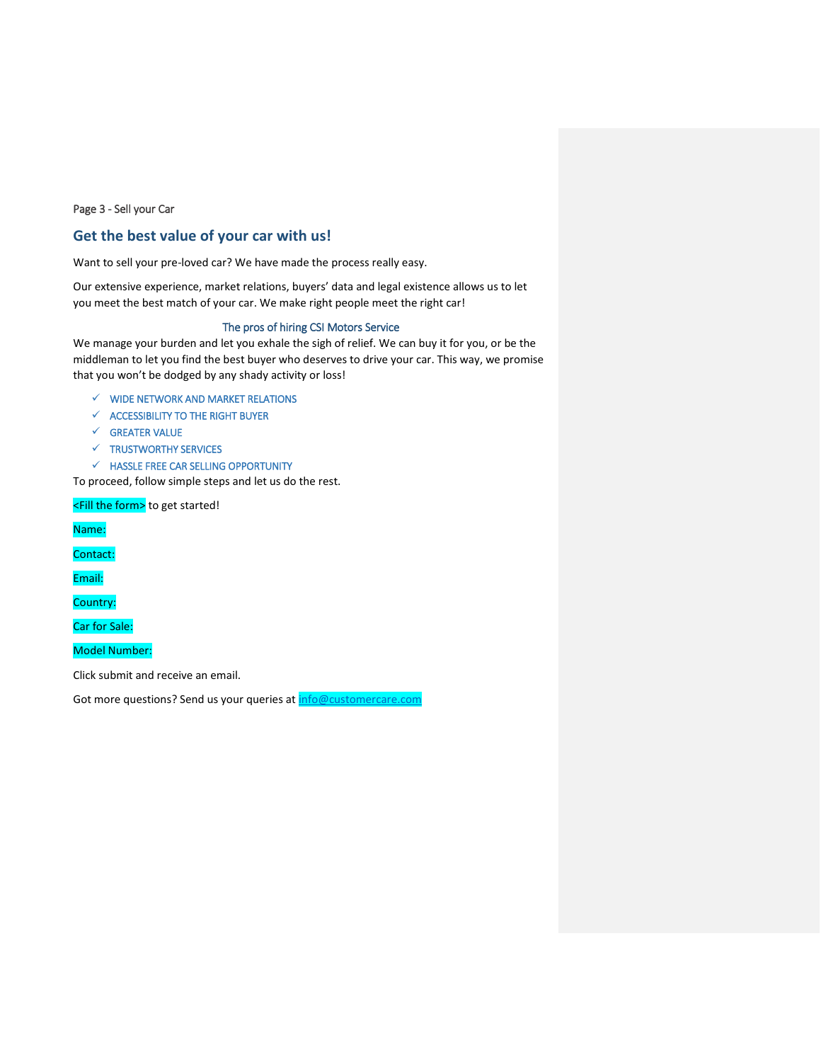#### Page 3 - Sell your Car

# **Get the best value of your car with us!**

Want to sell your pre-loved car? We have made the process really easy.

Our extensive experience, market relations, buyers' data and legal existence allows us to let you meet the best match of your car. We make right people meet the right car!

#### The pros of hiring CSI Motors Service

We manage your burden and let you exhale the sigh of relief. We can buy it for you, or be the middleman to let you find the best buyer who deserves to drive your car. This way, we promise that you won't be dodged by any shady activity or loss!

- $\checkmark$  WIDE NETWORK AND MARKET RELATIONS
- $\checkmark$  ACCESSIBILITY TO THE RIGHT BUYER
- ✓ GREATER VALUE
- ✓ TRUSTWORTHY SERVICES
- $\checkmark$  HASSLE FREE CAR SELLING OPPORTUNITY

To proceed, follow simple steps and let us do the rest.

<Fill the form> to get started!

Name:

Contact:

Email:

Country:

Car for Sale:

Model Number:

Click submit and receive an email.

Got more questions? Send us your queries at *info@customercare.com*